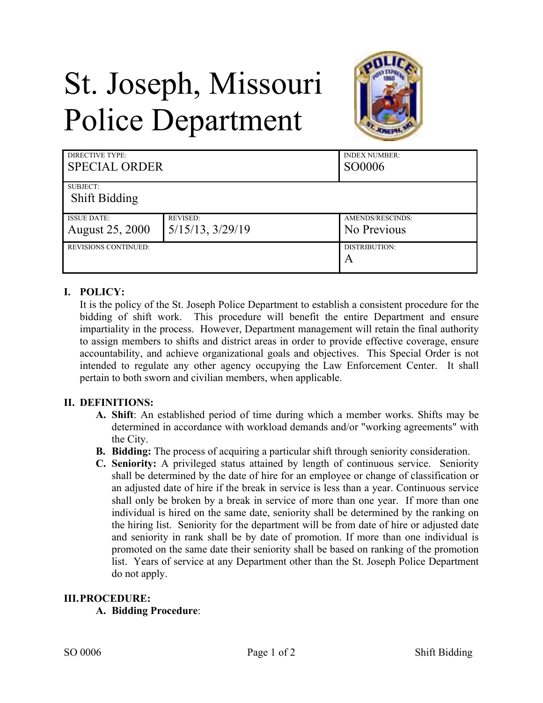# St. Joseph, Missouri Police Department



| DIRECTIVE TYPE:<br><b>SPECIAL ORDER</b> |                       | <b>INDEX NUMBER:</b><br>SO0006 |
|-----------------------------------------|-----------------------|--------------------------------|
| SUBJECT:                                |                       |                                |
| <b>Shift Bidding</b>                    |                       |                                |
| <b>ISSUE DATE:</b>                      | <b>REVISED:</b>       | AMENDS/RESCINDS:               |
| <b>August 25, 2000</b>                  | $5/15/13$ , $3/29/19$ | No Previous                    |
| <b>REVISIONS CONTINUED:</b>             |                       | DISTRIBUTION:                  |
|                                         |                       | $\overline{A}$                 |

## **I. POLICY:**

It is the policy of the St. Joseph Police Department to establish a consistent procedure for the bidding of shift work. This procedure will benefit the entire Department and ensure impartiality in the process. However, Department management will retain the final authority to assign members to shifts and district areas in order to provide effective coverage, ensure accountability, and achieve organizational goals and objectives. This Special Order is not intended to regulate any other agency occupying the Law Enforcement Center. It shall pertain to both sworn and civilian members, when applicable.

## **II. DEFINITIONS:**

- **A. Shift**: An established period of time during which a member works. Shifts may be determined in accordance with workload demands and/or "working agreements" with the City.
- **B. Bidding:** The process of acquiring a particular shift through seniority consideration.
- **C. Seniority:** A privileged status attained by length of continuous service. Seniority shall be determined by the date of hire for an employee or change of classification or an adjusted date of hire if the break in service is less than a year. Continuous service shall only be broken by a break in service of more than one year. If more than one individual is hired on the same date, seniority shall be determined by the ranking on the hiring list. Seniority for the department will be from date of hire or adjusted date and seniority in rank shall be by date of promotion. If more than one individual is promoted on the same date their seniority shall be based on ranking of the promotion list. Years of service at any Department other than the St. Joseph Police Department do not apply.

#### **III.PROCEDURE:**

**A. Bidding Procedure**: